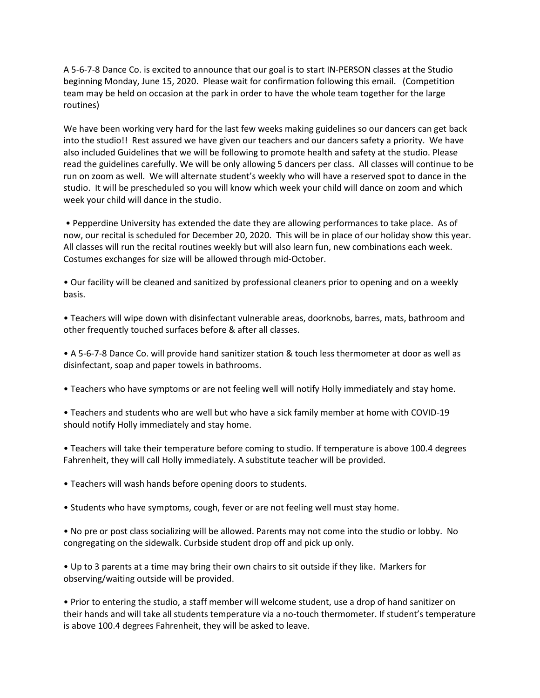A 5-6-7-8 Dance Co. is excited to announce that our goal is to start IN-PERSON classes at the Studio beginning Monday, June 15, 2020. Please wait for confirmation following this email. (Competition team may be held on occasion at the park in order to have the whole team together for the large routines)

We have been working very hard for the last few weeks making guidelines so our dancers can get back into the studio!! Rest assured we have given our teachers and our dancers safety a priority. We have also included Guidelines that we will be following to promote health and safety at the studio. Please read the guidelines carefully. We will be only allowing 5 dancers per class. All classes will continue to be run on zoom as well. We will alternate student's weekly who will have a reserved spot to dance in the studio. It will be prescheduled so you will know which week your child will dance on zoom and which week your child will dance in the studio.

• Pepperdine University has extended the date they are allowing performances to take place. As of now, our recital is scheduled for December 20, 2020. This will be in place of our holiday show this year. All classes will run the recital routines weekly but will also learn fun, new combinations each week. Costumes exchanges for size will be allowed through mid-October.

• Our facility will be cleaned and sanitized by professional cleaners prior to opening and on a weekly basis.

• Teachers will wipe down with disinfectant vulnerable areas, doorknobs, barres, mats, bathroom and other frequently touched surfaces before & after all classes.

• A 5-6-7-8 Dance Co. will provide hand sanitizer station & touch less thermometer at door as well as disinfectant, soap and paper towels in bathrooms.

- Teachers who have symptoms or are not feeling well will notify Holly immediately and stay home.
- Teachers and students who are well but who have a sick family member at home with COVID-19 should notify Holly immediately and stay home.

• Teachers will take their temperature before coming to studio. If temperature is above 100.4 degrees Fahrenheit, they will call Holly immediately. A substitute teacher will be provided.

- Teachers will wash hands before opening doors to students.
- Students who have symptoms, cough, fever or are not feeling well must stay home.

• No pre or post class socializing will be allowed. Parents may not come into the studio or lobby. No congregating on the sidewalk. Curbside student drop off and pick up only.

• Up to 3 parents at a time may bring their own chairs to sit outside if they like. Markers for observing/waiting outside will be provided.

• Prior to entering the studio, a staff member will welcome student, use a drop of hand sanitizer on their hands and will take all students temperature via a no-touch thermometer. If student's temperature is above 100.4 degrees Fahrenheit, they will be asked to leave.